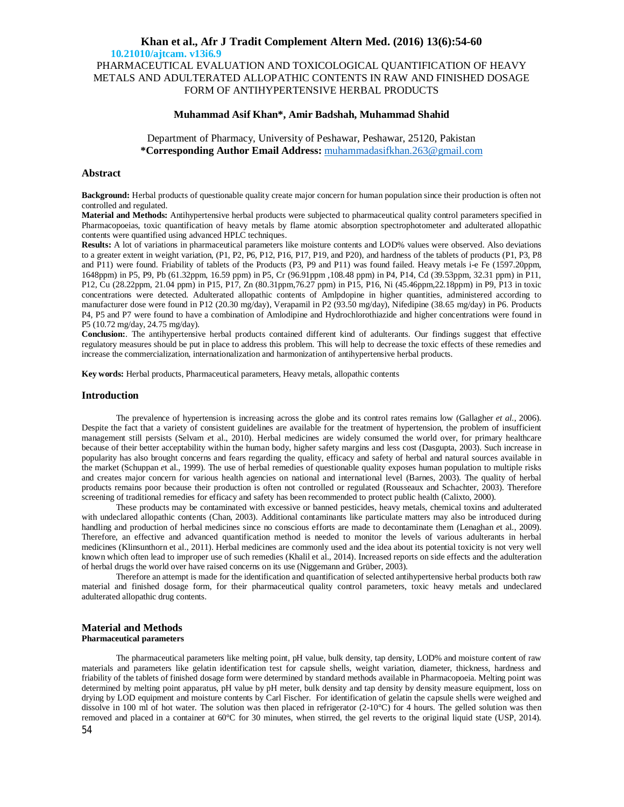PHARMACEUTICAL EVALUATION AND TOXICOLOGICAL QUANTIFICATION OF HEAVY METALS AND ADULTERATED ALLOPATHIC CONTENTS IN RAW AND FINISHED DOSAGE FORM OF ANTIHYPERTENSIVE HERBAL PRODUCTS

### **Muhammad Asif Khan\*, Amir Badshah, Muhammad Shahid**

Department of Pharmacy, University of Peshawar, Peshawar, 25120, Pakistan **\*Corresponding Author Email Address:** [muhammadasifkhan.263@gmail.com](mailto:muhammadasifkhan.263@gmail.com)

## **Abstract**

**Background:** Herbal products of questionable quality create major concern for human population since their production is often not controlled and regulated.

**Material and Methods:** Antihypertensive herbal products were subjected to pharmaceutical quality control parameters specified in Pharmacopoeias, toxic quantification of heavy metals by flame atomic absorption spectrophotometer and adulterated allopathic contents were quantified using advanced HPLC techniques.

**Results:** A lot of variations in pharmaceutical parameters like moisture contents and LOD% values were observed. Also deviations to a greater extent in weight variation, (P1, P2, P6, P12, P16, P17, P19, and P20), and hardness of the tablets of products (P1, P3, P8 and P11) were found. Friability of tablets of the Products (P3, P9 and P11) was found failed. Heavy metals i-e Fe (1597.20ppm, 1648ppm) in P5, P9, Pb (61.32ppm, 16.59 ppm) in P5, Cr (96.91ppm ,108.48 ppm) in P4, P14, Cd (39.53ppm, 32.31 ppm) in P11, P12, Cu (28.22ppm, 21.04 ppm) in P15, P17, Zn (80.31ppm,76.27 ppm) in P15, P16, Ni (45.46ppm,22.18ppm) in P9, P13 in toxic concentrations were detected. Adulterated allopathic contents of Amlpdopine in higher quantities, administered according to manufacturer dose were found in P12 (20.30 mg/day), Verapamil in P2 (93.50 mg/day), Nifedipine (38.65 mg/day) in P6. Products P4, P5 and P7 were found to have a combination of Amlodipine and Hydrochlorothiazide and higher concentrations were found in P5 (10.72 mg/day, 24.75 mg/day).

**Conclusion:**. The antihypertensive herbal products contained different kind of adulterants. Our findings suggest that effective regulatory measures should be put in place to address this problem. This will help to decrease the toxic effects of these remedies and increase the commercialization, internationalization and harmonization of antihypertensive herbal products.

**Key words:** Herbal products, Pharmaceutical parameters, Heavy metals, allopathic contents

### **Introduction**

The prevalence of hypertension is increasing across the globe and its control rates remains low (Gallagher *et al*., 2006). Despite the fact that a variety of consistent guidelines are available for the treatment of hypertension, the problem of insufficient management still persists (Selvam *e*t al., 2010). Herbal medicines are widely consumed the world over, for primary healthcare because of their better acceptability within the human body, higher safety margins and less cost (Dasgupta, 2003). Such increase in popularity has also brought concerns and fears regarding the quality, efficacy and safety of herbal and natural sources available in the market (Schuppan *e*t al., 1999). The use of herbal remedies of questionable quality exposes human population to multiple risks and creates major concern for various health agencies on national and international level (Barnes, 2003). The quality of herbal products remains poor because their production is often not controlled or regulated (Rousseaux and Schachter, 2003). Therefore screening of traditional remedies for efficacy and safety has been recommended to protect public health (Calixto, 2000).

These products may be contaminated with excessive or banned pesticides, heavy metals, chemical toxins and adulterated with undeclared allopathic contents (Chan, 2003). Additional contaminants like particulate matters may also be introduced during handling and production of herbal medicines since no conscious efforts are made to decontaminate them (Lenaghan *e*t al., 2009). Therefore, an effective and advanced quantification method is needed to monitor the levels of various adulterants in herbal medicines (Klinsunthorn et al., 2011). Herbal medicines are commonly used and the idea about its potential toxicity is not very well known which often lead to improper use of such remedies (Khalil et al., 2014). Increased reports on side effects and the adulteration of herbal drugs the world over have raised concerns on its use (Niggemann and Grüber, 2003).

Therefore an attempt is made for the identification and quantification of selected antihypertensive herbal products both raw material and finished dosage form, for their pharmaceutical quality control parameters, toxic heavy metals and undeclared adulterated allopathic drug contents.

### **Material and Methods Pharmaceutical parameters**

The pharmaceutical parameters like melting point, pH value, bulk density, tap density, LOD% and moisture content of raw materials and parameters like gelatin identification test for capsule shells, weight variation, diameter, thickness, hardness and friability of the tablets of finished dosage form were determined by standard methods available in Pharmacopoeia. Melting point was determined by melting point apparatus, pH value by pH meter, bulk density and tap density by density measure equipment, loss on drying by LOD equipment and moisture contents by Carl Fischer. For identification of gelatin the capsule shells were weighed and dissolve in 100 ml of hot water. The solution was then placed in refrigerator (2-10°C) for 4 hours. The gelled solution was then removed and placed in a container at 60°C for 30 minutes, when stirred, the gel reverts to the original liquid state (USP, 2014).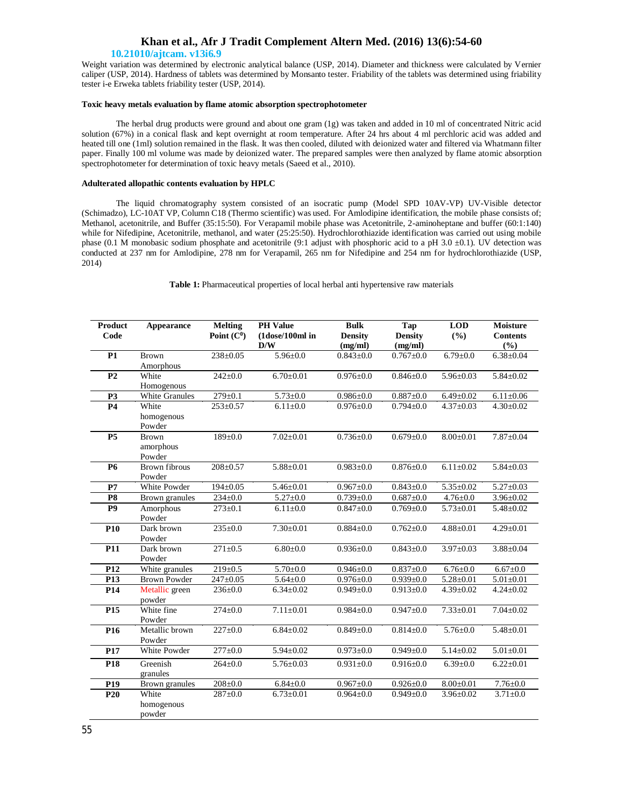## **Khan et al., Afr J Tradit Complement Altern Med. (2016) 13(6):54-60**

### **10.21010/ajtcam. v13i6.9**

Weight variation was determined by electronic analytical balance (USP, 2014). Diameter and thickness were calculated by Vernier caliper (USP, 2014). Hardness of tablets was determined by Monsanto tester. Friability of the tablets was determined using friability tester i-e Erweka tablets friability tester (USP, 2014).

## **Toxic heavy metals evaluation by flame atomic absorption spectrophotometer**

The herbal drug products were ground and about one gram (1g) was taken and added in 10 ml of concentrated Nitric acid solution (67%) in a conical flask and kept overnight at room temperature. After 24 hrs about 4 ml perchloric acid was added and heated till one (1ml) solution remained in the flask. It was then cooled, diluted with deionized water and filtered via Whatmann filter paper. Finally 100 ml volume was made by deionized water. The prepared samples were then analyzed by flame atomic absorption spectrophotometer for determination of toxic heavy metals (Saeed et al., 2010).

### **Adulterated allopathic contents evaluation by HPLC**

The liquid chromatography system consisted of an isocratic pump (Model SPD 10AV-VP) UV-Visible detector (Schimadzo), LC-10AT VP, Column C18 (Thermo scientific) was used. For Amlodipine identification, the mobile phase consists of; Methanol, acetonitrile, and Buffer (35:15:50). For Verapamil mobile phase was Acetonitrile, 2-aminoheptane and buffer (60:1:140) while for Nifedipine, Acetonitrile, methanol, and water (25:25:50). Hydrochlorothiazide identification was carried out using mobile phase (0.1 M monobasic sodium phosphate and acetonitrile (9:1 adjust with phosphoric acid to a pH 3.0 ±0.1). UV detection was conducted at 237 nm for Amlodipine, 278 nm for Verapamil, 265 nm for Nifedipine and 254 nm for hydrochlorothiazide (USP, 2014)

**Table 1:** Pharmaceutical properties of local herbal anti hypertensive raw materials

| <b>Product</b>  | Appearance           | <b>Melting</b> | <b>PH Value</b>           | <b>Bulk</b>     | Tap             | <b>LOD</b>      | <b>Moisture</b> |
|-----------------|----------------------|----------------|---------------------------|-----------------|-----------------|-----------------|-----------------|
| Code            |                      | Point $(C0)$   | (1dose/100ml in           | <b>Density</b>  | <b>Density</b>  | (%)             | <b>Contents</b> |
|                 |                      |                | D/W                       | (mg/ml)         | (mg/ml)         |                 | (%)             |
| P <sub>1</sub>  | <b>Brown</b>         | $238 \pm 0.05$ | $5.96 \pm 0.0$            | $0.843 \pm 0.0$ | $0.767 + 0.0$   | $6.79 \pm 0.0$  | $6.38 \pm 0.04$ |
|                 | Amorphous            |                |                           |                 |                 |                 |                 |
| P <sub>2</sub>  | White                | $242 \pm 0.0$  | $6.70 \pm 0.01$           | $0.976 \pm 0.0$ | $0.846 \pm 0.0$ | $5.96 \pm 0.03$ | $5.84 \pm 0.02$ |
|                 | Homogenous           |                |                           |                 |                 |                 |                 |
| P <sub>3</sub>  | White Granules       | $279 \pm 0.1$  | $5.73 \pm 0.0$            | $0.986 \pm 0.0$ | $0.887 + 0.0$   | $6.49 \pm 0.02$ | $6.11 \pm 0.06$ |
| <b>P4</b>       | White                | $253 \pm 0.57$ | $6.11 \pm 0.0$            | $0.976 \pm 0.0$ | $0.794 \pm 0.0$ | $4.37 \pm 0.03$ | $4.30 \pm 0.02$ |
|                 | homogenous           |                |                           |                 |                 |                 |                 |
|                 | Powder               |                |                           |                 |                 |                 |                 |
| P <sub>5</sub>  | <b>Brown</b>         | 189±0.0        | $7.02 \pm 0.01$           | $0.736 \pm 0.0$ | $0.679 \pm 0.0$ | $8.00 \pm 0.01$ | $7.87 \pm 0.04$ |
|                 | amorphous            |                |                           |                 |                 |                 |                 |
|                 | Powder               |                |                           |                 |                 |                 |                 |
| <b>P6</b>       | <b>Brown fibrous</b> | $208 \pm 0.57$ | $5.88 \pm 0.01$           | $0.983 + 0.0$   | $0.876 \pm 0.0$ | $6.11 \pm 0.02$ | $5.84 \pm 0.03$ |
|                 | Powder               |                |                           |                 |                 |                 |                 |
| P7              | White Powder         | $194 \pm 0.05$ | $5.46 \pm 0.01$           | $0.967 + 0.0$   | $0.843 \pm 0.0$ | $5.35 \pm 0.02$ | $5.27 \pm 0.03$ |
| P <sub>8</sub>  | Brown granules       | $234 \pm 0.0$  | $\overline{5.27} \pm 0.0$ | $0.739 + 0.0$   | $0.687 + 0.0$   | $4.76 \pm 0.0$  | $3.96 \pm 0.02$ |
| P <sub>9</sub>  | Amorphous            | $273 \pm 0.1$  | $6.11 \pm 0.0$            | $0.847 + 0.0$   | $0.769 \pm 0.0$ | $5.73 \pm 0.01$ | $5.48 \pm 0.02$ |
|                 | Powder               |                |                           |                 |                 |                 |                 |
| P <sub>10</sub> | Dark brown           | $235 \pm 0.0$  | $7.30 \pm 0.01$           | $0.884 + 0.0$   | $0.762 + 0.0$   | $4.88 + 0.01$   | $4.29 \pm 0.01$ |
|                 | Powder               |                |                           |                 |                 |                 |                 |
| <b>P11</b>      | Dark brown           | $271 \pm 0.5$  | $6.80{\pm}0.0$            | $0.936 \pm 0.0$ | $0.843 \pm 0.0$ | $3.97 \pm 0.03$ | $3.88 \pm 0.04$ |
|                 | Powder               |                |                           |                 |                 |                 |                 |
| P <sub>12</sub> | White granules       | $219 \pm 0.5$  | $\frac{1}{5.70}$ ±0.0     | $0.946 \pm 0.0$ | $0.837 + 0.0$   | $6.76 \pm 0.0$  | $6.67 \pm 0.0$  |
| P13             | <b>Brown Powder</b>  | $247 + 0.05$   | $5.64 \pm 0.0$            | $0.976 + 0.0$   | $0.939 + 0.0$   | $5.28 \pm 0.01$ | $5.01 \pm 0.01$ |
| P <sub>14</sub> | Metallic green       | $236 \pm 0.0$  | $6.34 \pm 0.02$           | $0.949 \pm 0.0$ | $0.913 \pm 0.0$ | $4.39 \pm 0.02$ | $4.24 \pm 0.02$ |
|                 | powder               |                |                           |                 |                 |                 |                 |
| P <sub>15</sub> | White fine           | $274 \pm 0.0$  | $7.11 \pm 0.01$           | $0.984 + 0.0$   | $0.947 + 0.0$   | $7.33 \pm 0.01$ | $7.04 \pm 0.02$ |
|                 | Powder               |                |                           |                 |                 |                 |                 |
| P <sub>16</sub> | Metallic brown       | $227 \pm 0.0$  | $6.84 \pm 0.02$           | $0.849 + 0.0$   | $0.814 \pm 0.0$ | $5.76 \pm 0.0$  | $5.48 \pm 0.01$ |
|                 | Powder               |                |                           |                 |                 |                 |                 |
| P17             | White Powder         | $277+0.0$      | $5.94 \pm 0.02$           | $0.973 \pm 0.0$ | $0.949 \pm 0.0$ | $5.14 \pm 0.02$ | $5.01 \pm 0.01$ |
| P <sub>18</sub> | Greenish             | $264 \pm 0.0$  | $5.76 \pm 0.03$           | $0.931 \pm 0.0$ | $0.916 \pm 0.0$ | $6.39 \pm 0.0$  | $6.22 \pm 0.01$ |
|                 | granules             |                |                           |                 |                 |                 |                 |
| P <sub>19</sub> | Brown granules       | $208 \pm 0.0$  | $6.84 \pm 0.0$            | $0.967 + 0.0$   | $0.926 \pm 0.0$ | $8.00 \pm 0.01$ | $7.76 \pm 0.0$  |
| P <sub>20</sub> | White                | $287 + 0.0$    | $6.73 \pm 0.01$           | $0.964 \pm 0.0$ | $0.949 \pm 0.0$ | $3.96 \pm 0.02$ | $3.71 \pm 0.0$  |
|                 | homogenous           |                |                           |                 |                 |                 |                 |
|                 | powder               |                |                           |                 |                 |                 |                 |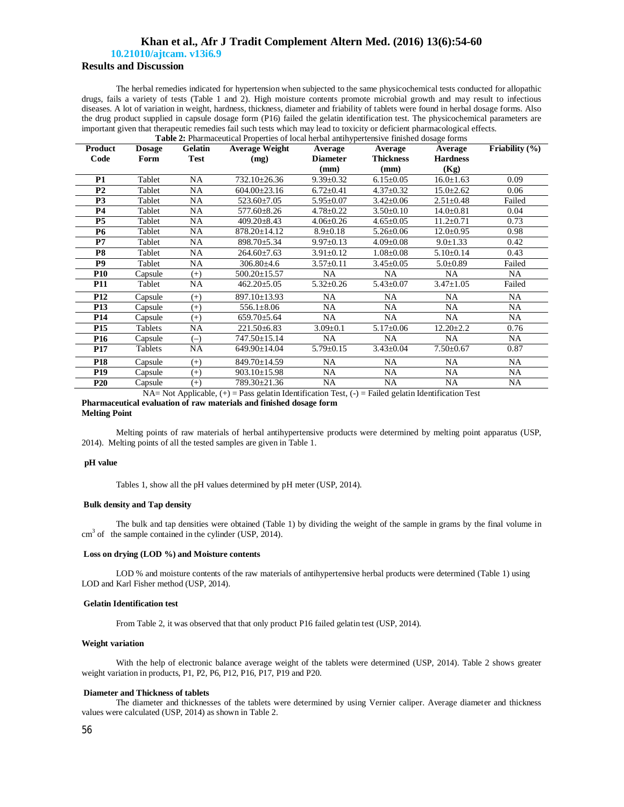## **Khan et al., Afr J Tradit Complement Altern Med. (2016) 13(6):54-60**

 **10.21010/ajtcam. v13i6.9**

## **Results and Discussion**

The herbal remedies indicated for hypertension when subjected to the same physicochemical tests conducted for allopathic drugs, fails a variety of tests (Table 1 and 2). High moisture contents promote microbial growth and may result to infectious diseases. A lot of variation in weight, hardness, thickness, diameter and friability of tablets were found in herbal dosage forms. Also the drug product supplied in capsule dosage form (P16) failed the gelatin identification test. The physicochemical parameters are important given that therapeutic remedies fail such tests which may lead to toxicity or deficient pharmacological effects. **Table 2:** Pharmaceutical Properties of local herbal antihypertensive finished dosage forms

| Product         | <b>Dosage</b> | Gelatin     | <b>There E</b> , I harmaceutical Properties of focal fierbal antiffypertensive fillished dosage forms<br><b>Average Weight</b>                                                                             | Average         | Average                      | Average                                               | Friability $(\% )$ |
|-----------------|---------------|-------------|------------------------------------------------------------------------------------------------------------------------------------------------------------------------------------------------------------|-----------------|------------------------------|-------------------------------------------------------|--------------------|
| Code            | Form          | <b>Test</b> | (mg)                                                                                                                                                                                                       | <b>Diameter</b> | <b>Thickness</b>             | <b>Hardness</b>                                       |                    |
|                 |               |             |                                                                                                                                                                                                            | (mm)            | (mm)                         | (Kg)                                                  |                    |
| <b>P1</b>       | Tablet        | <b>NA</b>   | 732.10±26.36                                                                                                                                                                                               | $9.39 \pm 0.32$ | $6.15 \pm 0.05$              | $16.0 \pm 1.63$                                       | 0.09               |
| P <sub>2</sub>  | Tablet        | NA          | $604.00 \pm 23.16$                                                                                                                                                                                         | $6.72 \pm 0.41$ | $4.37 \pm 0.32$              | $15.0 \pm 2.62$                                       | 0.06               |
| <b>P3</b>       | Tablet        | NA          | $523.60 \pm 7.05$                                                                                                                                                                                          | $5.95 \pm 0.07$ | $3.42 \pm 0.06$              | $2.51 \pm 0.48$                                       | Failed             |
| <b>P4</b>       | Tablet        | NA          | $577.60 \pm 8.26$                                                                                                                                                                                          | $4.78 \pm 0.22$ | $3.50 \pm 0.10$              | $14.0 \pm 0.81$                                       | 0.04               |
| <b>P5</b>       | Tablet        | NA          | $409.20 \pm 8.43$                                                                                                                                                                                          | $4.06 \pm 0.26$ | $4.65 \pm 0.05$              | $11.2 \pm 0.71$                                       | 0.73               |
| <b>P6</b>       | Tablet        | NA          | 878.20±14.12                                                                                                                                                                                               | $8.9 \pm 0.18$  | $5.26 \pm 0.06$              | $12.0 \pm 0.95$                                       | 0.98               |
| P7              | Tablet        | <b>NA</b>   | 898.70±5.34                                                                                                                                                                                                | $9.97 \pm 0.13$ | $4.09 \pm 0.08$              | $9.0 \pm 1.33$                                        | 0.42               |
| <b>P8</b>       | Tablet        | NA          | $264.60\pm7.63$                                                                                                                                                                                            | $3.91 \pm 0.12$ | $1.08 \pm 0.08$              | $5.10 \pm 0.14$                                       | 0.43               |
| <b>P9</b>       | Tablet        | NA          | 306.80±4.6                                                                                                                                                                                                 | $3.57 \pm 0.11$ | $3.45 \pm 0.05$              | $5.0 \pm 0.89$                                        | Failed             |
| <b>P10</b>      | Capsule       | $(+)$       | $500.20 \pm 15.57$                                                                                                                                                                                         | NA.             | NA.                          | <b>NA</b>                                             | <b>NA</b>          |
| P11             | Tablet        | NA          | $462.20 \pm 5.05$                                                                                                                                                                                          | $5.32 \pm 0.26$ | $5.43 \pm 0.07$              | $3.47 \pm 1.05$                                       | Failed             |
| P <sub>12</sub> | Capsule       | $(+)$       | 897.10±13.93                                                                                                                                                                                               | <b>NA</b>       | NA                           | NA.                                                   | <b>NA</b>          |
| <b>P13</b>      | Capsule       | $^{(+)}$    | $556.1 \pm 8.06$                                                                                                                                                                                           | <b>NA</b>       | <b>NA</b>                    | NA                                                    | <b>NA</b>          |
| P14             | Capsule       | $^{(+)}$    | $659.70 \pm 5.64$                                                                                                                                                                                          | NA.             | NA                           | NA.                                                   | <b>NA</b>          |
| P <sub>15</sub> | Tablets       | <b>NA</b>   | $221.50\pm 6.83$                                                                                                                                                                                           | $3.09 \pm 0.1$  | $5.17 \pm 0.06$              | $12.20 \pm 2.2$                                       | 0.76               |
| <b>P16</b>      | Capsule       | $(-)$       | 747.50±15.14                                                                                                                                                                                               | <b>NA</b>       | NA.                          | NA                                                    | <b>NA</b>          |
| <b>P17</b>      | Tablets       | <b>NA</b>   | 649.90±14.04                                                                                                                                                                                               | $5.79 \pm 0.15$ | $3.43 \pm 0.04$              | $7.50 \pm 0.67$                                       | 0.87               |
| P <sub>18</sub> | Capsule       | $^{(+)}$    | 849.70±14.59                                                                                                                                                                                               | NA              | NA                           | NA                                                    | NA                 |
| P <sub>19</sub> | Capsule       | $^{(+)}$    | 903.10±15.98                                                                                                                                                                                               | NA              | NA                           | NA                                                    | NA                 |
| <b>P20</b>      | Capsule       | $^{(+)}$    | 789.30±21.36                                                                                                                                                                                               | NA              | NA                           | NA                                                    | NA                 |
|                 |               |             | $\mathbf{A} \mathbf{A} \mathbf{A}$ and $\mathbf{A} \mathbf{A}$ and $\mathbf{A} \mathbf{A}$ and $\mathbf{A} \mathbf{A}$ and $\mathbf{A} \mathbf{A}$ and $\mathbf{A} \mathbf{A}$ and $\mathbf{A} \mathbf{A}$ |                 | <b>PER PERSONAL PROPERTY</b> | $\mathcal{L}$ , and $\mathcal{L}$ , and $\mathcal{L}$ |                    |

NA= Not Applicable, (+) = Pass gelatin Identification Test, (-) = Failed gelatin Identification Test

### **Pharmaceutical evaluation of raw materials and finished dosage form Melting Point**

Melting points of raw materials of herbal antihypertensive products were determined by melting point apparatus (USP, 2014). Melting points of all the tested samples are given in Table 1.

### **pH value**

Tables 1, show all the pH values determined by pH meter (USP, 2014).

### **Bulk density and Tap density**

The bulk and tap densities were obtained (Table 1) by dividing the weight of the sample in grams by the final volume in  $cm<sup>3</sup>$  of the sample contained in the cylinder (USP, 2014).

### **Loss on drying (LOD %) and Moisture contents**

LOD % and moisture contents of the raw materials of antihypertensive herbal products were determined (Table 1) using LOD and Karl Fisher method (USP, 2014).

### **Gelatin Identification test**

From Table 2, it was observed that that only product P16 failed gelatin test (USP, 2014).

### **Weight variation**

With the help of electronic balance average weight of the tablets were determined (USP, 2014). Table 2 shows greater weight variation in products, P1, P2, P6, P12, P16, P17, P19 and P20.

### **Diameter and Thickness of tablets**

The diameter and thicknesses of the tablets were determined by using Vernier caliper. Average diameter and thickness values were calculated (USP, 2014) as shown in Table 2.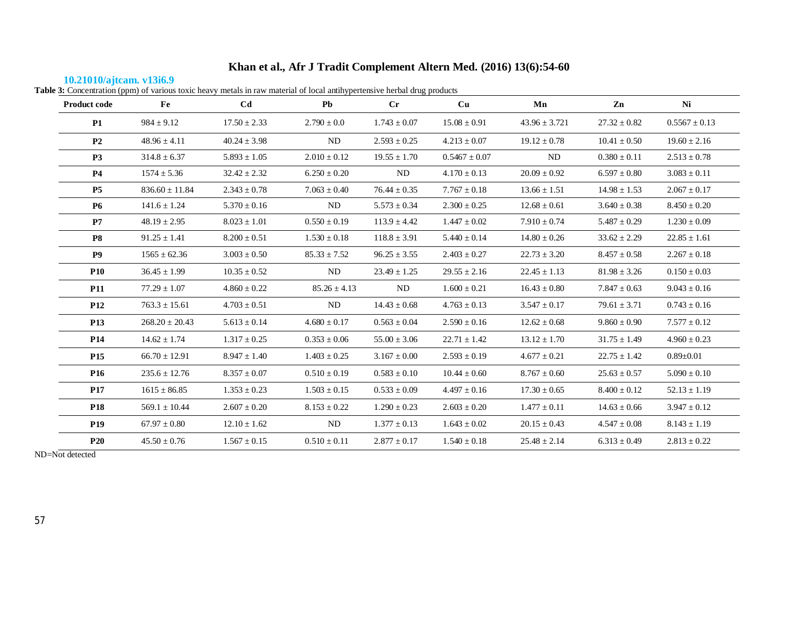# **10.21010/ajtcam. v13i6.9**

| Table 3: Concentration (ppm) of various toxic heavy metals in raw material of local antihypertensive herbal drug products |  |  |  |
|---------------------------------------------------------------------------------------------------------------------------|--|--|--|
|                                                                                                                           |  |  |  |

| <b>Product code</b> | Fe                 | Cd               | Pb               | $_{\rm Cr}$      | Cu                | Mn                | Zn               | Ni                |
|---------------------|--------------------|------------------|------------------|------------------|-------------------|-------------------|------------------|-------------------|
| <b>P1</b>           | $984 \pm 9.12$     | $17.50 \pm 2.33$ | $2.790 \pm 0.0$  | $1.743 \pm 0.07$ | $15.08 \pm 0.91$  | $43.96 \pm 3.721$ | $27.32 \pm 0.82$ | $0.5567 \pm 0.13$ |
| P <sub>2</sub>      | $48.96 \pm 4.11$   | $40.24 \pm 3.98$ | ND               | $2.593 \pm 0.25$ | $4.213 \pm 0.07$  | $19.12 \pm 0.78$  | $10.41 \pm 0.50$ | $19.60 \pm 2.16$  |
| <b>P3</b>           | $314.8 \pm 6.37$   | $5.893 \pm 1.05$ | $2.010 \pm 0.12$ | $19.55 \pm 1.70$ | $0.5467 \pm 0.07$ | ND                | $0.380 \pm 0.11$ | $2.513 \pm 0.78$  |
| <b>P4</b>           | $1574 \pm 5.36$    | $32.42 \pm 2.32$ | $6.250 \pm 0.20$ | ND               | $4.170 \pm 0.13$  | $20.09 \pm 0.92$  | $6.597 \pm 0.80$ | $3.083 \pm 0.11$  |
| <b>P5</b>           | $836.60 \pm 11.84$ | $2.343 \pm 0.78$ | $7.063 \pm 0.40$ | $76.44 \pm 0.35$ | $7.767 \pm 0.18$  | $13.66 \pm 1.51$  | $14.98 \pm 1.53$ | $2.067 \pm 0.17$  |
| <b>P6</b>           | $141.6 \pm 1.24$   | $5.370\pm0.16$   | ND               | $5.573 \pm 0.34$ | $2.300 \pm 0.25$  | $12.68 \pm 0.61$  | $3.640 \pm 0.38$ | $8.450 \pm 0.20$  |
| P7                  | $48.19 \pm 2.95$   | $8.023 \pm 1.01$ | $0.550 \pm 0.19$ | $113.9 \pm 4.42$ | $1.447 \pm 0.02$  | $7.910 \pm 0.74$  | $5.487 \pm 0.29$ | $1.230 \pm 0.09$  |
| <b>P8</b>           | $91.25 \pm 1.41$   | $8.200 \pm 0.51$ | $1.530 \pm 0.18$ | $118.8 \pm 3.91$ | $5.440 \pm 0.14$  | $14.80 \pm 0.26$  | $33.62 \pm 2.29$ | $22.85 \pm 1.61$  |
| <b>P9</b>           | $1565 \pm 62.36$   | $3.003 \pm 0.50$ | $85.33 \pm 7.52$ | $96.25 \pm 3.55$ | $2.403 \pm 0.27$  | $22.73 \pm 3.20$  | $8.457 \pm 0.58$ | $2.267 \pm 0.18$  |
| <b>P10</b>          | $36.45 \pm 1.99$   | $10.35 \pm 0.52$ | ND               | $23.49 \pm 1.25$ | $29.55 \pm 2.16$  | $22.45 \pm 1.13$  | $81.98 \pm 3.26$ | $0.150 \pm 0.03$  |
| <b>P11</b>          | $77.29 \pm 1.07$   | $4.860 \pm 0.22$ | $85.26 \pm 4.13$ | ND               | $1.600 \pm 0.21$  | $16.43 \pm 0.80$  | $7.847 \pm 0.63$ | $9.043 \pm 0.16$  |
| <b>P12</b>          | $763.3 \pm 15.61$  | $4.703 \pm 0.51$ | ND               | $14.43 \pm 0.68$ | $4.763 \pm 0.13$  | $3.547 \pm 0.17$  | $79.61 \pm 3.71$ | $0.743 \pm 0.16$  |
| <b>P13</b>          | $268.20 \pm 20.43$ | $5.613 \pm 0.14$ | $4.680 \pm 0.17$ | $0.563 \pm 0.04$ | $2.590\pm0.16$    | $12.62 \pm 0.68$  | $9.860 \pm 0.90$ | $7.577 \pm 0.12$  |
| <b>P14</b>          | $14.62 \pm 1.74$   | $1.317 \pm 0.25$ | $0.353 \pm 0.06$ | $55.00 \pm 3.06$ | $22.71 \pm 1.42$  | $13.12 \pm 1.70$  | $31.75 \pm 1.49$ | $4.960 \pm 0.23$  |
| <b>P15</b>          | $66.70 \pm 12.91$  | $8.947 \pm 1.40$ | $1.403 \pm 0.25$ | $3.167 \pm 0.00$ | $2.593 \pm 0.19$  | $4.677 \pm 0.21$  | $22.75 \pm 1.42$ | $0.89 \pm 0.01$   |
| <b>P16</b>          | $235.6 \pm 12.76$  | $8.357 \pm 0.07$ | $0.510 \pm 0.19$ | $0.583 \pm 0.10$ | $10.44 \pm 0.60$  | $8.767 \pm 0.60$  | $25.63 \pm 0.57$ | $5.090 \pm 0.10$  |
| <b>P17</b>          | $1615 \pm 86.85$   | $1.353 \pm 0.23$ | $1.503 \pm 0.15$ | $0.533 \pm 0.09$ | $4.497 \pm 0.16$  | $17.30 \pm 0.65$  | $8.400 \pm 0.12$ | $52.13 \pm 1.19$  |
| <b>P18</b>          | $569.1 \pm 10.44$  | $2.607 \pm 0.20$ | $8.153 \pm 0.22$ | $1.290 \pm 0.23$ | $2.603 \pm 0.20$  | $1.477\pm0.11$    | $14.63 \pm 0.66$ | $3.947 \pm 0.12$  |
| <b>P19</b>          | $67.97 \pm 0.80$   | $12.10 \pm 1.62$ | ND               | $1.377 \pm 0.13$ | $1.643 \pm 0.02$  | $20.15 \pm 0.43$  | $4.547 \pm 0.08$ | $8.143\pm1.19$    |
| <b>P20</b>          | $45.50 \pm 0.76$   | $1.567 \pm 0.15$ | $0.510 \pm 0.11$ | $2.877 \pm 0.17$ | $1.540 \pm 0.18$  | $25.48 \pm 2.14$  | $6.313 \pm 0.49$ | $2.813 \pm 0.22$  |

ND=Not detected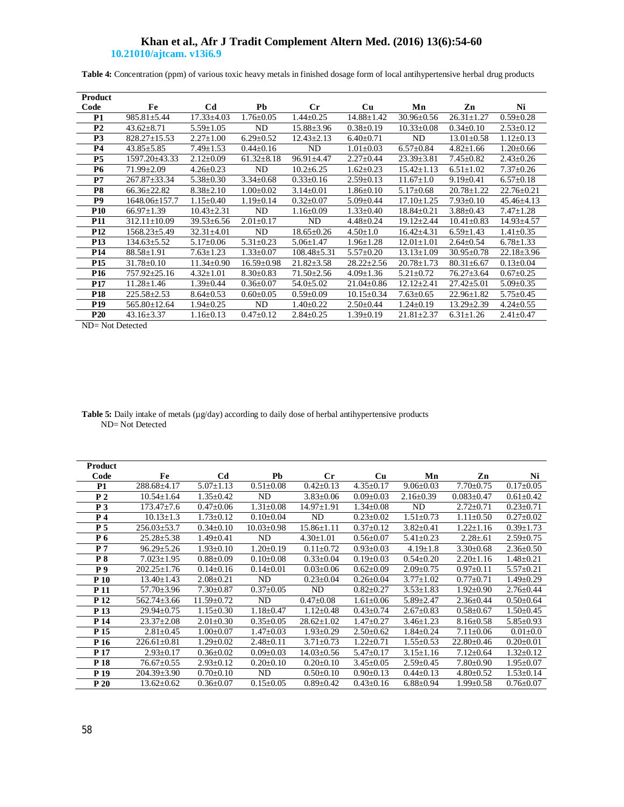**Table 4:** Concentration (ppm) of various toxic heavy metals in finished dosage form of local antihypertensive herbal drug products

| Product         |                    |                  |                  |                   |                  |                  |                  |                  |
|-----------------|--------------------|------------------|------------------|-------------------|------------------|------------------|------------------|------------------|
| Code            | Fe                 | C <sub>d</sub>   | Pb               | $_{\rm Cr}$       | Cu               | Mn               | Zn               | Ni               |
| <b>P1</b>       | $985.81 \pm 5.44$  | $17.33 \pm 4.03$ | $1.76 \pm 0.05$  | $1.44 \pm 0.25$   | $14.88 \pm 1.42$ | $30.96 \pm 0.56$ | $26.31 \pm 1.27$ | $0.59 \pm 0.28$  |
| P <sub>2</sub>  | $43.62 \pm 8.71$   | $5.59 \pm 1.05$  | ND               | $15.88 \pm 3.96$  | $0.38 \pm 0.19$  | $10.33 \pm 0.08$ | $0.34 \pm 0.10$  | $2.53 \pm 0.12$  |
| P <sub>3</sub>  | $828.27 \pm 15.53$ | $2.27 \pm 1.00$  | $6.29 \pm 0.52$  | $12.43 \pm 2.13$  | $6.40 \pm 0.71$  | ND               | $13.01 \pm 0.58$ | $1.12 \pm 0.13$  |
| <b>P4</b>       | $43.85 \pm 5.85$   | $7.49 \pm 1.53$  | $0.44 \pm 0.16$  | ND                | $1.01 \pm 0.03$  | $6.57 \pm 0.84$  | $4.82 \pm 1.66$  | $1.20 \pm 0.66$  |
| P <sub>5</sub>  | 1597.20±43.33      | $2.12 \pm 0.09$  | $61.32 \pm 8.18$ | $96.91 \pm 4.47$  | $2.27 \pm 0.44$  | $23.39 \pm 3.81$ | $7.45 \pm 0.82$  | $2.43 \pm 0.26$  |
| <b>P6</b>       | $71.99 + 2.09$     | $4.26 \pm 0.23$  | ND               | $10.2 \pm 6.25$   | $1.62 \pm 0.23$  | $15.42 \pm 1.13$ | $6.51 \pm 1.02$  | $7.37 \pm 0.26$  |
| P7              | $267.87 \pm 33.34$ | $5.38 \pm 0.30$  | $3.34 \pm 0.68$  | $0.33 \pm 0.16$   | $2.59 \pm 0.13$  | $11.67 \pm 1.0$  | $9.19 \pm 0.41$  | $6.57 \pm 0.18$  |
| P8              | $66.36 + 22.82$    | $8.38 \pm 2.10$  | $1.00 \pm 0.02$  | $3.14 \pm 0.01$   | $1.86 \pm 0.10$  | $5.17 \pm 0.68$  | $20.78 \pm 1.22$ | $22.76 + 0.21$   |
| P <sub>9</sub>  | 1648.06±157.7      | $1.15 \pm 0.40$  | $1.19 \pm 0.14$  | $0.32 \pm 0.07$   | $5.09 \pm 0.44$  | $17.10 \pm 1.25$ | $7.93 \pm 0.10$  | $45.46 \pm 4.13$ |
| <b>P10</b>      | $66.97 \pm 1.39$   | $10.43 \pm 2.31$ | ND               | $1.16 \pm 0.09$   | $1.33 \pm 0.40$  | $18.84 \pm 0.21$ | $3.88 \pm 0.43$  | $7.47 \pm 1.28$  |
| <b>P11</b>      | $312.11 \pm 10.09$ | $39.53 \pm 6.56$ | $2.01 \pm 0.17$  | ND                | $4.48 \pm 0.24$  | $19.12 \pm 2.44$ | $10.41 \pm 0.83$ | $14.93 \pm 4.57$ |
| P <sub>12</sub> | 1568.23±5.49       | $32.31 \pm 4.01$ | ND               | $18.65 \pm 0.26$  | $4.50 \pm 1.0$   | $16.42{\pm}4.31$ | $6.59 \pm 1.43$  | $1.41 \pm 0.35$  |
| <b>P13</b>      | $134.63 \pm 5.52$  | $5.17 \pm 0.06$  | $5.31 \pm 0.23$  | $5.06 \pm 1.47$   | $1.96 \pm 1.28$  | $12.01 \pm 1.01$ | $2.64 \pm 0.54$  | $6.78 \pm 1.33$  |
| P <sub>14</sub> | $88.58 \pm 1.91$   | $7.63 \pm 1.23$  | $1.33 \pm 0.07$  | $108.48 \pm 5.31$ | $5.57 \pm 0.20$  | $13.13 \pm 1.09$ | $30.95 \pm 0.78$ | $22.18 \pm 3.96$ |
| P <sub>15</sub> | $31.78 \pm 0.10$   | $11.34 \pm 0.90$ | $16.59 \pm 0.98$ | $21.82 \pm 3.58$  | $28.22 \pm 2.56$ | $20.78 \pm 1.73$ | $80.31 \pm 6.67$ | $0.13 \pm 0.04$  |
| P <sub>16</sub> | 757.92±25.16       | $4.32 \pm 1.01$  | $8.30 \pm 0.83$  | $71.50 \pm 2.56$  | $4.09 \pm 1.36$  | $5.21 \pm 0.72$  | $76.27 \pm 3.64$ | $0.67 \pm 0.25$  |
| <b>P17</b>      | $11.28 \pm 1.46$   | $1.39 \pm 0.44$  | $0.36 \pm 0.07$  | $54.0 \pm 5.02$   | $21.04 \pm 0.86$ | $12.12 \pm 2.41$ | $27.42 \pm 5.01$ | $5.09 \pm 0.35$  |
| P <sub>18</sub> | $225.58 \pm 2.53$  | $8.64 \pm 0.53$  | $0.60 \pm 0.05$  | $0.59 \pm 0.09$   | $10.15 \pm 0.34$ | $7.63 \pm 0.65$  | $22.96 \pm 1.82$ | $5.75 \pm 0.45$  |
| P <sub>19</sub> | $565.80 \pm 12.64$ | $1.94 \pm 0.25$  | ND               | $1.40 \pm 0.22$   | $2.50 \pm 0.44$  | $1.24 \pm 0.19$  | $13.29 \pm 2.39$ | $4.24 \pm 0.55$  |
| P <sub>20</sub> | $43.16 \pm 3.37$   | $1.16 \pm 0.13$  | $0.47 \pm 0.12$  | $2.84 \pm 0.25$   | $1.39 \pm 0.19$  | $21.81 \pm 2.37$ | $6.31 \pm 1.26$  | $2.41 \pm 0.47$  |

ND= Not Detected

| <b>Table 5:</b> Daily intake of metals ( $\mu$ g/day) according to daily dose of herbal antihypertensive products |  |  |
|-------------------------------------------------------------------------------------------------------------------|--|--|
| $ND = Not$ Detected                                                                                               |  |  |

| <b>Product</b>  |                   |                  |                  |                  |                 |                 |                  |                 |
|-----------------|-------------------|------------------|------------------|------------------|-----------------|-----------------|------------------|-----------------|
| Code            | Fe                | Cd               | Pb               | $_{\rm Cr}$      | Cu              | Mn              | Zn               | Ni              |
| <b>P1</b>       | 288.68±4.17       | $5.07 \pm 1.13$  | $0.51 \pm 0.08$  | $0.42 \pm 0.13$  | $4.35 \pm 0.17$ | $9.06 \pm 0.03$ | $7.70 \pm 0.75$  | $0.17 \pm 0.05$ |
| P <sub>2</sub>  | $10.54 \pm 1.64$  | $1.35 \pm 0.42$  | ND               | $3.83 \pm 0.06$  | $0.09 \pm 0.03$ | $2.16 \pm 0.39$ | $0.083 \pm 0.47$ | $0.61 \pm 0.42$ |
| P <sub>3</sub>  | $173.47 \pm 7.6$  | $0.47 \pm 0.06$  | $1.31 \pm 0.08$  | $14.97 \pm 1.91$ | $1.34 \pm 0.08$ | ND              | $2.72 \pm 0.71$  | $0.23 \pm 0.71$ |
| P 4             | $10.13 \pm 1.3$   | $1.73 \pm 0.12$  | $0.10 \pm 0.04$  | ND               | $0.23 \pm 0.02$ | $1.51 \pm 0.73$ | $1.11 \pm 0.50$  | $0.27 \pm 0.02$ |
| P 5             | $256.03 \pm 53.7$ | $0.34 \pm 0.10$  | $10.03 \pm 0.98$ | $15.86 \pm 1.11$ | $0.37 \pm 0.12$ | $3.82 \pm 0.41$ | $1.22 \pm 1.16$  | $0.39 \pm 1.73$ |
| Р6              | $25.28 \pm 5.38$  | $1.49 \pm 0.41$  | ND               | $4.30 \pm 1.01$  | $0.56 \pm 0.07$ | $5.41 \pm 0.23$ | $2.28 \pm .61$   | $2.59 \pm 0.75$ |
| P <sub>7</sub>  | $96.29 \pm 5.26$  | $1.93 \pm 0.10$  | $1.20 \pm 0.19$  | $0.11 \pm 0.72$  | $0.93 \pm 0.03$ | $4.19 \pm 1.8$  | $3.30\pm0.68$    | $2.36 \pm 0.50$ |
| <b>P8</b>       | $7.023 \pm 1.95$  | $0.88 \pm 0.09$  | $0.10 \pm 0.08$  | $0.33 \pm 0.04$  | $0.19 \pm 0.03$ | $0.54 \pm 0.20$ | $2.20 \pm 1.16$  | $1.48 \pm 0.21$ |
| P 9             | $202.25 \pm 1.76$ | $0.14 \pm 0.16$  | $0.14 \pm 0.01$  | $0.03 \pm 0.06$  | $0.62 \pm 0.09$ | $2.09 \pm 0.75$ | $0.97+0.11$      | $5.57 \pm 0.21$ |
| P 10            | $13.40 \pm 1.43$  | $2.08 \pm 0.21$  | ND               | $0.23 \pm 0.04$  | $0.26 \pm 0.04$ | $3.77 \pm 1.02$ | $0.77 + 0.71$    | $1.49 \pm 0.29$ |
| P <sub>11</sub> | $57.70 \pm 3.96$  | $7.30 \pm 0.87$  | $0.37 \pm 0.05$  | ND               | $0.82 \pm 0.27$ | $3.53 \pm 1.83$ | $1.92 \pm 0.90$  | $2.76 \pm 0.44$ |
| P <sub>12</sub> | $562.74 \pm 3.66$ | $11.59 \pm 0.72$ | ND               | $0.47 \pm 0.08$  | $1.61 \pm 0.06$ | $5.89 \pm 2.47$ | $2.36 \pm 0.44$  | $0.50 \pm 0.64$ |
| P <sub>13</sub> | $29.94 \pm 0.75$  | $1.15 \pm 0.30$  | $1.18 \pm 0.47$  | $1.12 \pm 0.48$  | $0.43 \pm 0.74$ | $2.67 \pm 0.83$ | $0.58 + 0.67$    | $1.50 \pm 0.45$ |
| P 14            | $23.37 \pm 2.08$  | $2.01 \pm 0.30$  | $0.35 \pm 0.05$  | $28.62 \pm 1.02$ | $1.47 \pm 0.27$ | $3.46 \pm 1.23$ | $8.16 \pm 0.58$  | $5.85 \pm 0.93$ |
| P <sub>15</sub> | $2.81 \pm 0.45$   | $1.00 \pm 0.07$  | $1.47 \pm 0.03$  | $1.93 \pm 0.29$  | $2.50 \pm 0.62$ | $1.84 \pm 0.24$ | $7.11 \pm 0.06$  | $0.01 \pm 0.0$  |
| P 16            | $226.61 \pm 0.81$ | $1.29 \pm 0.02$  | $2.48 \pm 0.11$  | $3.71 \pm 0.73$  | $1.22 \pm 0.71$ | $1.55 \pm 0.53$ | $22.80 \pm 0.46$ | $0.20 \pm 0.01$ |
| P 17            | $2.93 \pm 0.17$   | $0.36 \pm 0.02$  | $0.09 \pm 0.03$  | $14.03 \pm 0.56$ | $5.47 \pm 0.17$ | $3.15 \pm 1.16$ | $7.12 \pm 0.64$  | $1.32 \pm 0.12$ |
| P <sub>18</sub> | $76.67 \pm 0.55$  | $2.93 \pm 0.12$  | $0.20 \pm 0.10$  | $0.20 \pm 0.10$  | $3.45 \pm 0.05$ | $2.59 \pm 0.45$ | $7.80 \pm 0.90$  | $1.95 \pm 0.07$ |
| P <sub>19</sub> | $204.39 \pm 3.90$ | $0.70 \pm 0.10$  | ND               | $0.50 \pm 0.10$  | $0.90 \pm 0.13$ | $0.44 \pm 0.13$ | $4.80 \pm 0.52$  | $1.53 \pm 0.14$ |
| P 20            | $13.62 \pm 0.62$  | $0.36 \pm 0.07$  | $0.15 \pm 0.05$  | $0.89 + 0.42$    | $0.43 \pm 0.16$ | $6.88 \pm 0.94$ | $1.99 \pm 0.58$  | $0.76 \pm 0.07$ |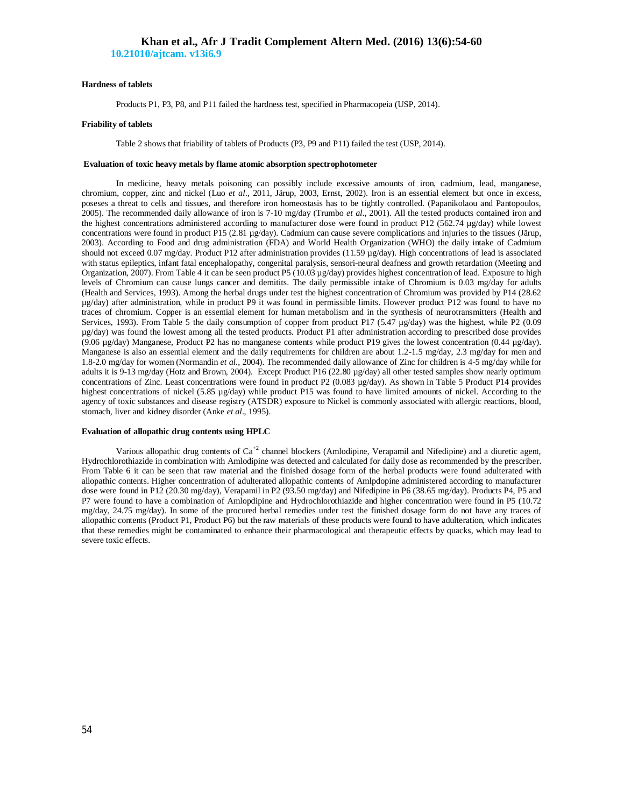### **Hardness of tablets**

Products P1, P3, P8, and P11 failed the hardness test, specified in Pharmacopeia (USP, 2014).

### **Friability of tablets**

Table 2 shows that friability of tablets of Products (P3, P9 and P11) failed the test (USP, 2014).

#### **Evaluation of toxic heavy metals by flame atomic absorption spectrophotometer**

In medicine, heavy metals poisoning can possibly include excessive amounts of iron, cadmium, lead, manganese, chromium, copper, zinc and nickel (Luo *et al*., 2011, Järup, 2003, Ernst, 2002). Iron is an essential element but once in excess, poseses a threat to cells and tissues, and therefore iron homeostasis has to be tightly controlled. (Papanikolaou and Pantopoulos, 2005). The recommended daily allowance of iron is 7-10 mg/day (Trumbo *et al*., 2001). All the tested products contained iron and the highest concentrations administered according to manufacturer dose were found in product P12 (562.74 µg/day) while lowest concentrations were found in product P15 (2.81 µg/day). Cadmium can cause severe complications and injuries to the tissues (Järup, 2003). According to Food and drug administration (FDA) and World Health Organization (WHO) the daily intake of Cadmium should not exceed 0.07 mg/day. Product P12 after administration provides (11.59 µg/day). High concentrations of lead is associated with status epileptics, infant fatal encephalopathy, congenital paralysis, sensori-neural deafness and growth retardation (Meeting and Organization, 2007). From Table 4 it can be seen product P5 (10.03 µg/day) provides highest concentration of lead. Exposure to high levels of Chromium can cause lungs cancer and demitits. The daily permissible intake of Chromium is 0.03 mg/day for adults (Health and Services, 1993). Among the herbal drugs under test the highest concentration of Chromium was provided by P14 (28.62 µg/day) after administration, while in product P9 it was found in permissible limits. However product P12 was found to have no traces of chromium. Copper is an essential element for human metabolism and in the synthesis of neurotransmitters (Health and Services, 1993). From Table 5 the daily consumption of copper from product P17 (5.47  $\mu$ g/day) was the highest, while P2 (0.09 µg/day) was found the lowest among all the tested products. Product P1 after administration according to prescribed dose provides (9.06 µg/day) Manganese, Product P2 has no manganese contents while product P19 gives the lowest concentration (0.44 µg/day). Manganese is also an essential element and the daily requirements for children are about 1.2-1.5 mg/day, 2.3 mg/day for men and 1.8-2.0 mg/day for women (Normandin *et al*., 2004). The recommended daily allowance of Zinc for children is 4-5 mg/day while for adults it is 9-13 mg/day (Hotz and Brown, 2004). Except Product P16 (22.80 µg/day) all other tested samples show nearly optimum concentrations of Zinc. Least concentrations were found in product P2 (0.083 µg/day). As shown in Table 5 Product P14 provides highest concentrations of nickel (5.85 µg/day) while product P15 was found to have limited amounts of nickel. According to the agency of toxic substances and disease registry (ATSDR) exposure to Nickel is commonly associated with allergic reactions, blood, stomach, liver and kidney disorder (Anke *et al*., 1995).

### **Evaluation of allopathic drug contents using HPLC**

Various allopathic drug contents of Ca<sup>+2</sup> channel blockers (Amlodipine, Verapamil and Nifedipine) and a diuretic agent, Hydrochlorothiazide in combination with Amlodipine was detected and calculated for daily dose as recommended by the prescriber. From Table 6 it can be seen that raw material and the finished dosage form of the herbal products were found adulterated with allopathic contents. Higher concentration of adulterated allopathic contents of Amlpdopine administered according to manufacturer dose were found in P12 (20.30 mg/day), Verapamil in P2 (93.50 mg/day) and Nifedipine in P6 (38.65 mg/day). Products P4, P5 and P7 were found to have a combination of Amlopdipine and Hydrochlorothiazide and higher concentration were found in P5 (10.72 mg/day, 24.75 mg/day). In some of the procured herbal remedies under test the finished dosage form do not have any traces of allopathic contents (Product P1, Product P6) but the raw materials of these products were found to have adulteration, which indicates that these remedies might be contaminated to enhance their pharmacological and therapeutic effects by quacks, which may lead to severe toxic effects.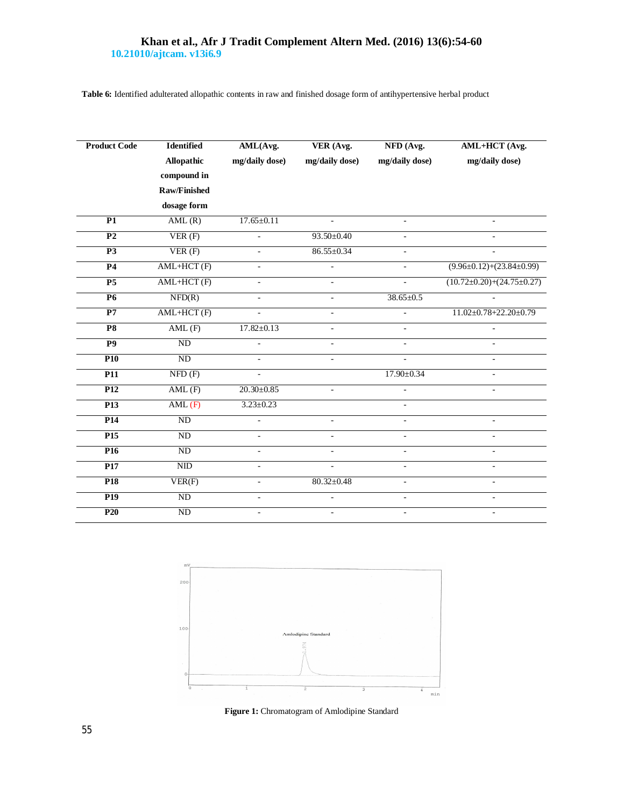**Table 6:** Identified adulterated allopathic contents in raw and finished dosage form of antihypertensive herbal product

| <b>Product Code</b> | <b>Identified</b>   |                          | AML(Avg.<br>VER (Avg.    |                          | AML+HCT (Avg.                         |
|---------------------|---------------------|--------------------------|--------------------------|--------------------------|---------------------------------------|
|                     | Allopathic          | mg/daily dose)           | mg/daily dose)           | mg/daily dose)           | mg/daily dose)                        |
|                     | compound in         |                          |                          |                          |                                       |
|                     | <b>Raw/Finished</b> |                          |                          |                          |                                       |
|                     | dosage form         |                          |                          |                          |                                       |
| P1                  | AML(R)              | $17.65 \pm 0.11$         | $\mathcal{L}$            | ÷.                       | $\mathbf{r}$                          |
| $\overline{P2}$     | VER(F)              |                          | $93.50 \pm 0.40$         | $\bar{a}$                | $\overline{a}$                        |
| P <sub>3</sub>      | VER(F)              | $\bar{\phantom{a}}$      | $86.55 \pm 0.34$         | $\equiv$                 | $\overline{a}$                        |
| P <sub>4</sub>      | AML+HCT(F)          | L,                       |                          | $\overline{\phantom{a}}$ | $(9.96 \pm 0.12) + (23.84 \pm 0.99)$  |
| P <sub>5</sub>      | $AML+HCT(F)$        | $\equiv$                 | $\overline{a}$           | $\bar{a}$                | $(10.72 \pm 0.20) + (24.75 \pm 0.27)$ |
| <b>P6</b>           | NFD(R)              | $\bar{\phantom{a}}$      | ÷,                       | $38.65 \pm 0.5$          |                                       |
| P7                  | $AML+HCT$ (F)       | $\overline{a}$           | ÷,                       | L.                       | $11.02 \pm 0.78 \pm 22.20 \pm 0.79$   |
| <b>P8</b>           | AML(F)              | $17.82 \pm 0.13$         | ÷,                       | $\bar{a}$                |                                       |
| $\overline{P9}$     | ND                  |                          | $\overline{\phantom{m}}$ | $\blacksquare$           |                                       |
| P10                 | ND                  | $\overline{a}$           | $\overline{a}$           | L.                       | $\overline{a}$                        |
| $\overline{P11}$    | NFD(F)              | ä,                       |                          | 17.90±0.34               | $\blacksquare$                        |
| P <sub>12</sub>     | AML(F)              | $20.30 \pm 0.85$         | ÷.                       | ٠                        | $\overline{\phantom{a}}$              |
| P <sub>13</sub>     | AML(F)              | $3.23 \pm 0.23$          |                          | $\overline{\phantom{a}}$ |                                       |
| P <sub>14</sub>     | ND                  |                          | $\sim$                   | $\overline{\phantom{a}}$ | $\blacksquare$                        |
| P <sub>15</sub>     | $\rm ND$            | ä,                       | L,                       | $\bar{a}$                | $\overline{\phantom{a}}$              |
| P <sub>16</sub>     | ND                  | $\overline{a}$           |                          | $\equiv$                 | ÷,                                    |
| P17                 | NID                 | $\bar{\phantom{a}}$      | $\sim$                   | $\overline{\phantom{a}}$ | $\bar{a}$                             |
| <b>P18</b>          | VER(F)              | $\overline{\phantom{a}}$ | $80.32 \pm 0.48$         | $\overline{\phantom{a}}$ | $\overline{\phantom{a}}$              |
| P <sub>19</sub>     | ND                  | ÷,                       |                          | $\equiv$                 | $\bar{a}$                             |
| P20                 | ND                  | ÷,                       | $\blacksquare$           | $\bar{a}$                | $\overline{\phantom{a}}$              |



**Figure 1:** Chromatogram of Amlodipine Standard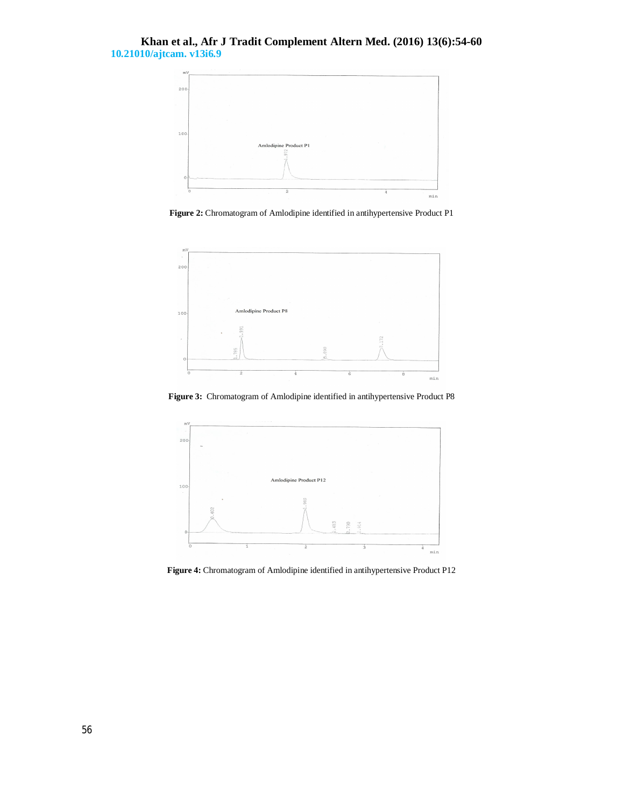

**Figure 2:** Chromatogram of Amlodipine identified in antihypertensive Product P1



**Figure 3:** Chromatogram of Amlodipine identified in antihypertensive Product P8



**Figure 4:** Chromatogram of Amlodipine identified in antihypertensive Product P12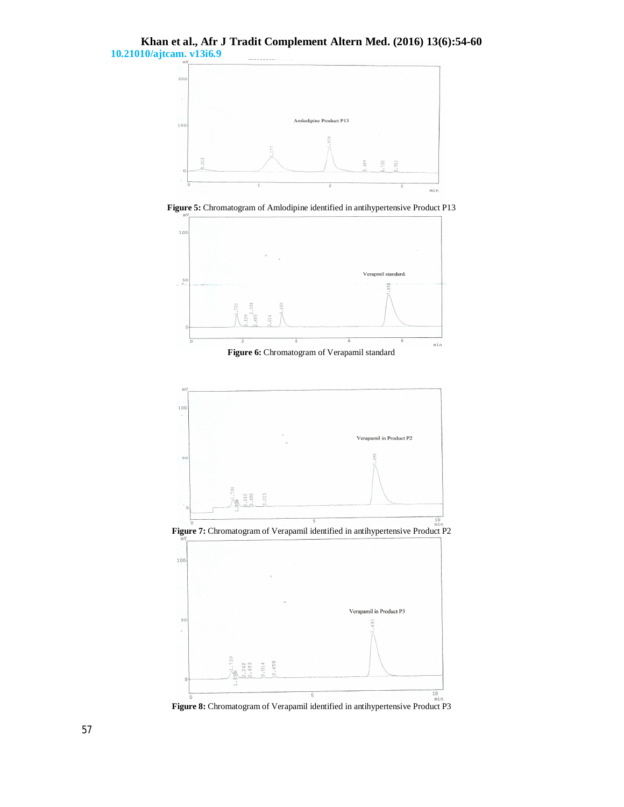

**Figure 5:** Chromatogram of Amlodipine identified in antihypertensive Product P13



**Figure 6:** Chromatogram of Verapamil standard



**Figure 8:** Chromatogram of Verapamil identified in antihypertensive Product P3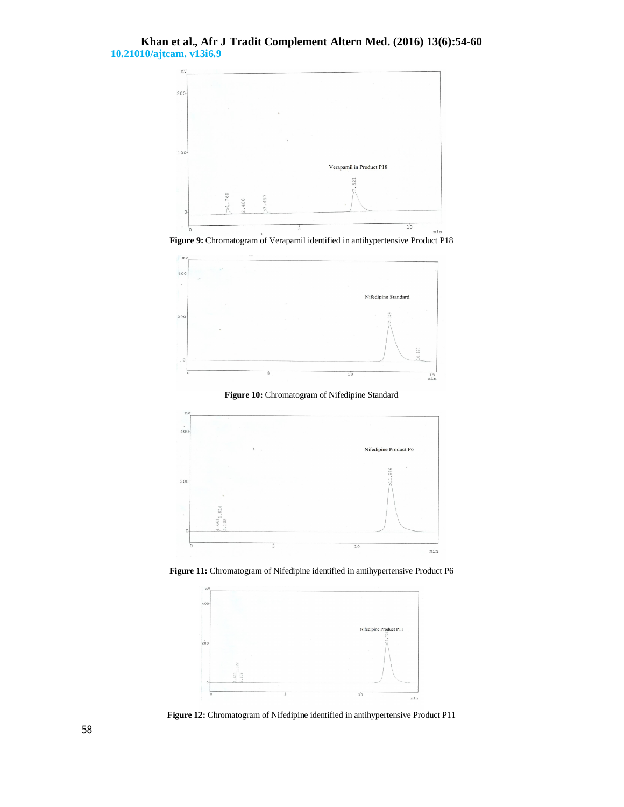

**Figure 9:** Chromatogram of Verapamil identified in antihypertensive Product P18







**Figure 11:** Chromatogram of Nifedipine identified in antihypertensive Product P6



**Figure 12:** Chromatogram of Nifedipine identified in antihypertensive Product P11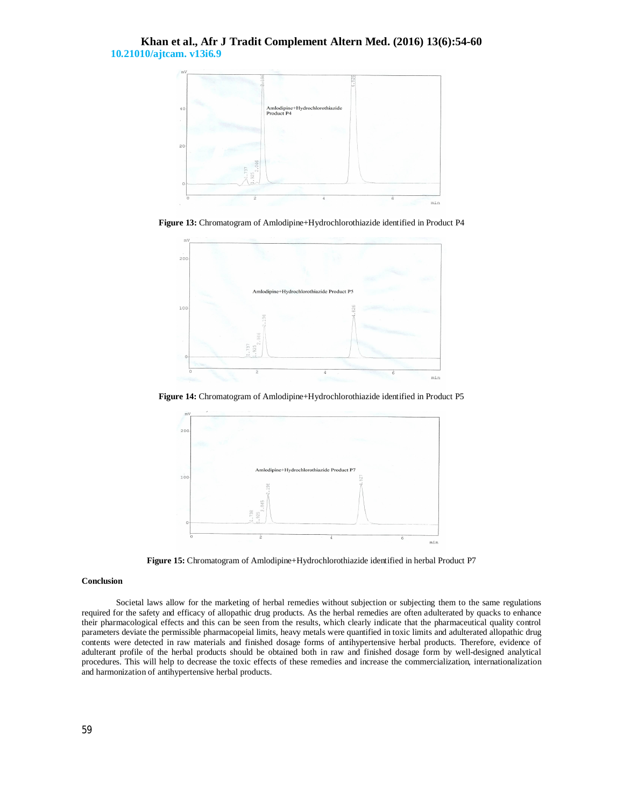

**Figure 13:** Chromatogram of Amlodipine+Hydrochlorothiazide identified in Product P4



**Figure 14:** Chromatogram of Amlodipine+Hydrochlorothiazide identified in Product P5



**Figure 15:** Chromatogram of Amlodipine+Hydrochlorothiazide identified in herbal Product P7

### **Conclusion**

Societal laws allow for the marketing of herbal remedies without subjection or subjecting them to the same regulations required for the safety and efficacy of allopathic drug products. As the herbal remedies are often adulterated by quacks to enhance their pharmacological effects and this can be seen from the results, which clearly indicate that the pharmaceutical quality control parameters deviate the permissible pharmacopeial limits, heavy metals were quantified in toxic limits and adulterated allopathic drug contents were detected in raw materials and finished dosage forms of antihypertensive herbal products. Therefore, evidence of adulterant profile of the herbal products should be obtained both in raw and finished dosage form by well-designed analytical procedures. This will help to decrease the toxic effects of these remedies and increase the commercialization, internationalization and harmonization of antihypertensive herbal products.